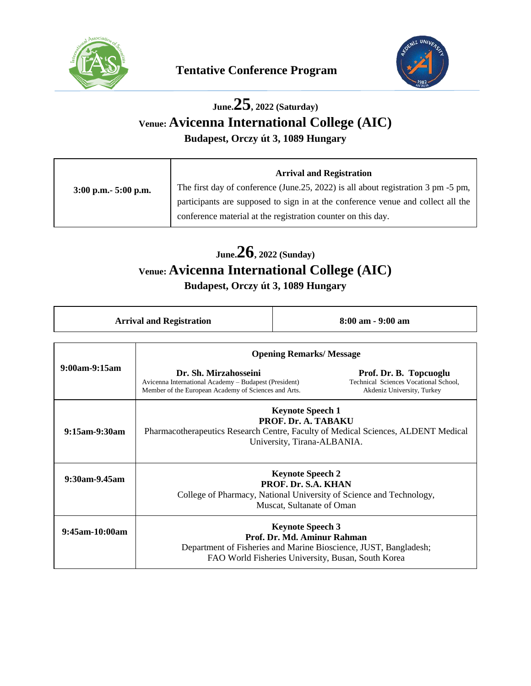

 $\overline{a}$ 



# **June.25, 2022 (Saturday) Venue: Avicenna International College (AIC)**

**Budapest, Orczy út 3, 1089 Hungary**

|                         | <b>Arrival and Registration</b>                                                   |
|-------------------------|-----------------------------------------------------------------------------------|
| $3:00$ p.m. $5:00$ p.m. | The first day of conference (June.25, 2022) is all about registration 3 pm -5 pm, |
|                         | participants are supposed to sign in at the conference venue and collect all the  |
|                         | conference material at the registration counter on this day.                      |

## **June.26, 2022 (Sunday) Venue: Avicenna International College (AIC)**

**Budapest, Orczy út 3, 1089 Hungary**

| <b>Arrival and Registration</b> | $8:00$ am $-9:00$ am |
|---------------------------------|----------------------|
|---------------------------------|----------------------|

|                      | <b>Opening Remarks/Message</b>                                                                                                                                                   |                                                                                               |
|----------------------|----------------------------------------------------------------------------------------------------------------------------------------------------------------------------------|-----------------------------------------------------------------------------------------------|
| $9:00$ am- $9:15$ am | Dr. Sh. Mirzahosseini<br>Avicenna International Academy – Budapest (President)<br>Member of the European Academy of Sciences and Arts.                                           | Prof. Dr. B. Topcuoglu<br>Technical Sciences Vocational School,<br>Akdeniz University, Turkey |
| $9:15$ am- $9:30$ am | <b>Keynote Speech 1</b><br>PROF. Dr. A. TABAKU<br>Pharmacotherapeutics Research Centre, Faculty of Medical Sciences, ALDENT Medical<br>University, Tirana-ALBANIA.               |                                                                                               |
| 9:30am-9.45am        | <b>Keynote Speech 2</b><br>PROF. Dr. S.A. KHAN<br>College of Pharmacy, National University of Science and Technology,<br>Muscat, Sultanate of Oman                               |                                                                                               |
| $9:45$ am-10:00am    | <b>Keynote Speech 3</b><br>Prof. Dr. Md. Aminur Rahman<br>Department of Fisheries and Marine Bioscience, JUST, Bangladesh;<br>FAO World Fisheries University, Busan, South Korea |                                                                                               |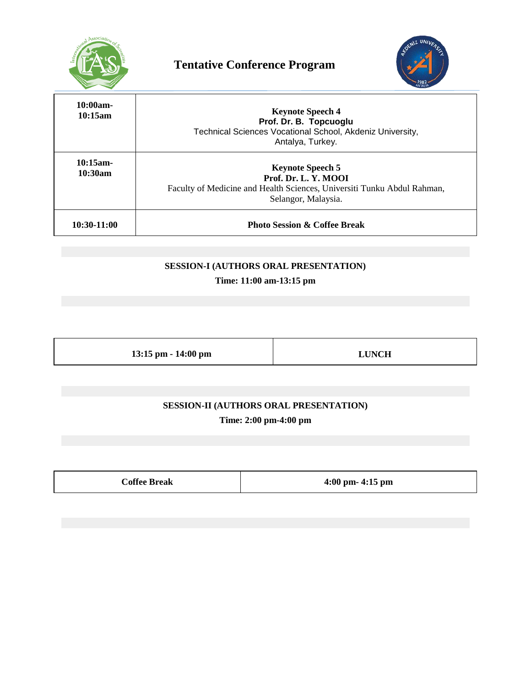



| $10:00am -$<br>10:15am | <b>Keynote Speech 4</b><br>Prof. Dr. B. Topcuoglu<br>Technical Sciences Vocational School, Akdeniz University,<br>Antalya, Turkey.                |
|------------------------|---------------------------------------------------------------------------------------------------------------------------------------------------|
| $10:15$ am-<br>10:30am | <b>Keynote Speech 5</b><br>Prof. Dr. L. Y. MOOI<br>Faculty of Medicine and Health Sciences, Universiti Tunku Abdul Rahman,<br>Selangor, Malaysia. |
| $10:30-11:00$          | <b>Photo Session &amp; Coffee Break</b>                                                                                                           |

#### **SESSION-I (AUTHORS ORAL PRESENTATION)**

**Time: 11:00 am-13:15 pm**

**13:15 pm - 14:00 pm LUNCH**

**SESSION-II (AUTHORS ORAL PRESENTATION) Time: 2:00 pm-4:00 pm**

**Coffee Break 4:00 pm- 4:15 pm**